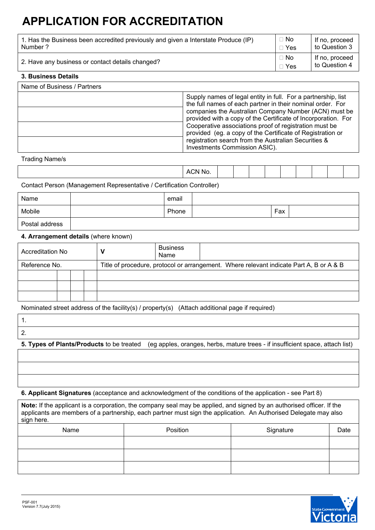# **APPLICATION FOR ACCREDITATION**

| 1. Has the Business been accredited previously and given a Interstate Produce (IP) | $\Box$ No                 | If no, proceed                  |
|------------------------------------------------------------------------------------|---------------------------|---------------------------------|
| Number ?                                                                           | $\sqcap$ Yes              | to Question 3                   |
| 2. Have any business or contact details changed?                                   | $\Box$ No<br>$\sqcap$ Yes | If no, proceed<br>to Question 4 |

## **3. Business Details**

| Name of Business / Partners |                                                                                                                                                                                                                                                                                                                                                                                                                                                                        |  |  |
|-----------------------------|------------------------------------------------------------------------------------------------------------------------------------------------------------------------------------------------------------------------------------------------------------------------------------------------------------------------------------------------------------------------------------------------------------------------------------------------------------------------|--|--|
|                             | Supply names of legal entity in full. For a partnership, list<br>the full names of each partner in their nominal order. For<br>companies the Australian Company Number (ACN) must be<br>provided with a copy of the Certificate of Incorporation. For<br>Cooperative associations proof of registration must be<br>provided (eg. a copy of the Certificate of Registration or<br>registration search from the Australian Securities &<br>Investments Commission ASIC). |  |  |

#### Trading Name/s

|--|

Contact Person (Management Representative / Certification Controller)

| Name           | email |     |  |
|----------------|-------|-----|--|
| Mobile         | Phone | Fax |  |
| Postal address |       |     |  |

# **4. Arrangement details** (where known)

| Accreditation No |  |  | <b>Business</b><br>Name |                                                                                         |
|------------------|--|--|-------------------------|-----------------------------------------------------------------------------------------|
| Reference No.    |  |  |                         | Title of procedure, protocol or arrangement. Where relevant indicate Part A, B or A & B |
|                  |  |  |                         |                                                                                         |
|                  |  |  |                         |                                                                                         |
|                  |  |  |                         |                                                                                         |

Nominated street address of the facility(s) / property(s) (Attach additional page if required)

| <u>.</u> |  |
|----------|--|

**5. Types of Plants/Products** to be treated (eg apples, oranges, herbs, mature trees - if insufficient space, attach list)

**6. Applicant Signatures** (acceptance and acknowledgment of the conditions of the application - see Part 8)

**Note:** If the applicant is a corporation, the company seal may be applied, and signed by an authorised officer. If the applicants are members of a partnership, each partner must sign the application. An Authorised Delegate may also sign here.

| Name | Position | Signature | Date |
|------|----------|-----------|------|
|      |          |           |      |
|      |          |           |      |
|      |          |           |      |